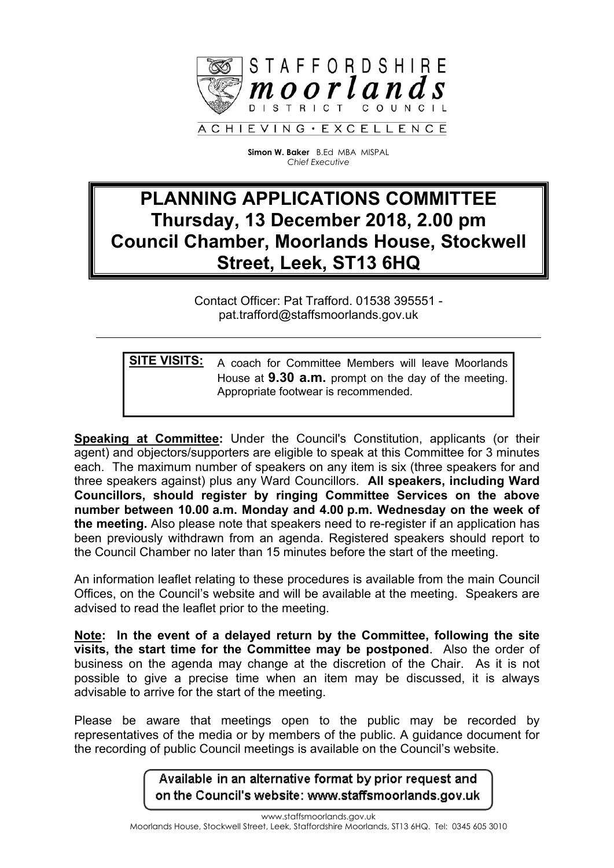

**Simon W. Baker** B.Ed MBA MISPAL *Chief Executive*

## **PLANNING APPLICATIONS COMMITTEE Thursday, 13 December 2018, 2.00 pm Council Chamber, Moorlands House, Stockwell Street, Leek, ST13 6HQ**

Contact Officer: Pat Trafford. 01538 395551 pat.trafford@staffsmoorlands.gov.uk

**SITE VISITS:** A coach for Committee Members will leave Moorlands House at **9.30 a.m.** prompt on the day of the meeting. Appropriate footwear is recommended.

**Speaking at Committee:** Under the Council's Constitution, applicants (or their agent) and objectors/supporters are eligible to speak at this Committee for 3 minutes each. The maximum number of speakers on any item is six (three speakers for and three speakers against) plus any Ward Councillors. **All speakers, including Ward Councillors, should register by ringing Committee Services on the above number between 10.00 a.m. Monday and 4.00 p.m. Wednesday on the week of the meeting.** Also please note that speakers need to re-register if an application has been previously withdrawn from an agenda. Registered speakers should report to the Council Chamber no later than 15 minutes before the start of the meeting.

An information leaflet relating to these procedures is available from the main Council Offices, on the Council's website and will be available at the meeting. Speakers are advised to read the leaflet prior to the meeting.

**Note: In the event of a delayed return by the Committee, following the site visits, the start time for the Committee may be postponed**. Also the order of business on the agenda may change at the discretion of the Chair. As it is not possible to give a precise time when an item may be discussed, it is always advisable to arrive for the start of the meeting.

Please be aware that meetings open to the public may be recorded by representatives of the media or by members of the public. A guidance document for the recording of public Council meetings is available on the Council's website.

> Available in an alternative format by prior request and on the Council's website: www.staffsmoorlands.gov.uk

www.staffsmoorlands.gov.uk Moorlands House, Stockwell Street, Leek, Staffordshire Moorlands, ST13 6HQ. Tel: 0345 605 3010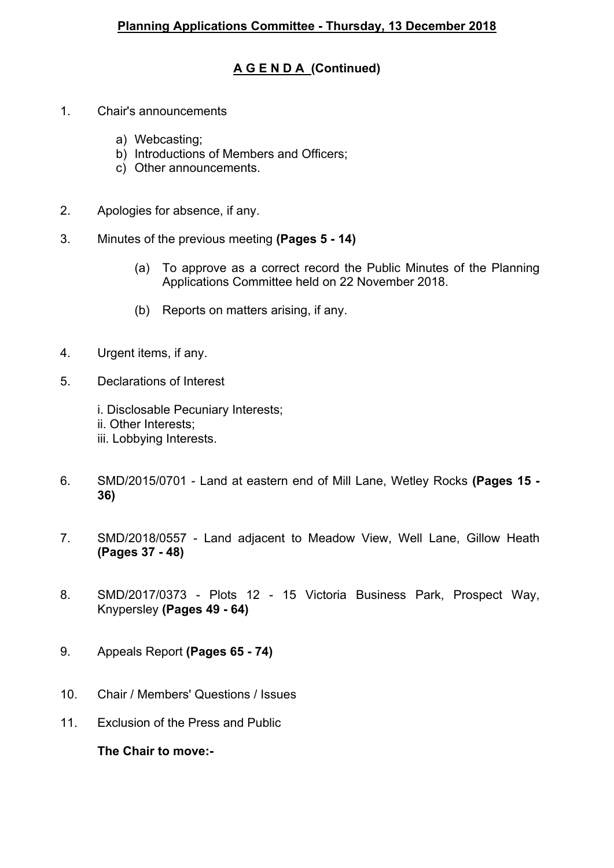## **A G E N D A (Continued)**

- 1. Chair's announcements
	- a) Webcasting;
	- b) Introductions of Members and Officers;
	- c) Other announcements.
- 2. Apologies for absence, if any.
- 3. Minutes of the previous meeting **(Pages 5 - 14)**
	- (a) To approve as a correct record the Public Minutes of the Planning Applications Committee held on 22 November 2018.
	- (b) Reports on matters arising, if any.
- 4. Urgent items, if any.
- 5. Declarations of Interest
	- i. Disclosable Pecuniary Interests;
	- ii. Other Interests;
	- iii. Lobbying Interests.
- 6. SMD/2015/0701 Land at eastern end of Mill Lane, Wetley Rocks **(Pages 15 - 36)**
- 7. SMD/2018/0557 Land adjacent to Meadow View, Well Lane, Gillow Heath **(Pages 37 - 48)**
- 8. SMD/2017/0373 Plots 12 15 Victoria Business Park, Prospect Way, Knypersley **(Pages 49 - 64)**
- 9. Appeals Report **(Pages 65 - 74)**
- 10. Chair / Members' Questions / Issues
- 11. Exclusion of the Press and Public

**The Chair to move:-**